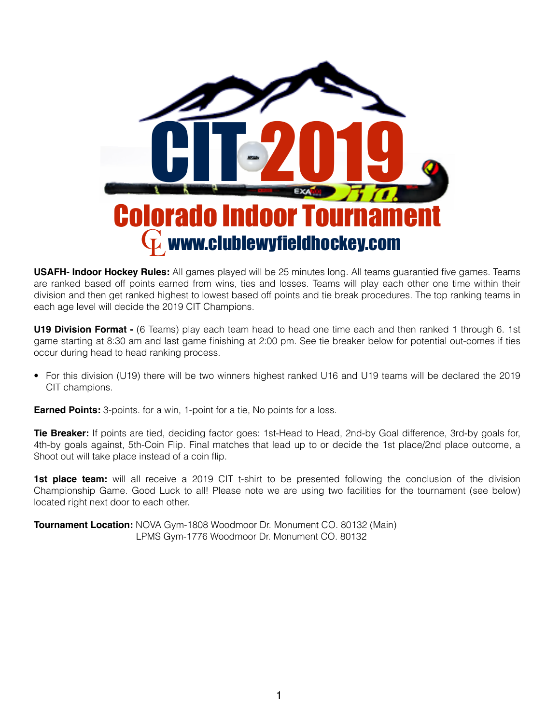

**USAFH- Indoor Hockey Rules:** All games played will be 25 minutes long. All teams guarantied five games. Teams are ranked based off points earned from wins, ties and losses. Teams will play each other one time within their division and then get ranked highest to lowest based off points and tie break procedures. The top ranking teams in each age level will decide the 2019 CIT Champions.

**U19 Division Format -** (6 Teams) play each team head to head one time each and then ranked 1 through 6. 1st game starting at 8:30 am and last game finishing at 2:00 pm. See tie breaker below for potential out-comes if ties occur during head to head ranking process.

• For this division (U19) there will be two winners highest ranked U16 and U19 teams will be declared the 2019 CIT champions.

**Earned Points:** 3-points. for a win, 1-point for a tie, No points for a loss.

**Tie Breaker:** If points are tied, deciding factor goes: 1st-Head to Head, 2nd-by Goal difference, 3rd-by goals for, 4th-by goals against, 5th-Coin Flip. Final matches that lead up to or decide the 1st place/2nd place outcome, a Shoot out will take place instead of a coin flip.

**1st place team:** will all receive a 2019 CIT t-shirt to be presented following the conclusion of the division Championship Game. Good Luck to all! Please note we are using two facilities for the tournament (see below) located right next door to each other.

**Tournament Location:** NOVA Gym-1808 Woodmoor Dr. Monument CO. 80132 (Main) LPMS Gym-1776 Woodmoor Dr. Monument CO. 80132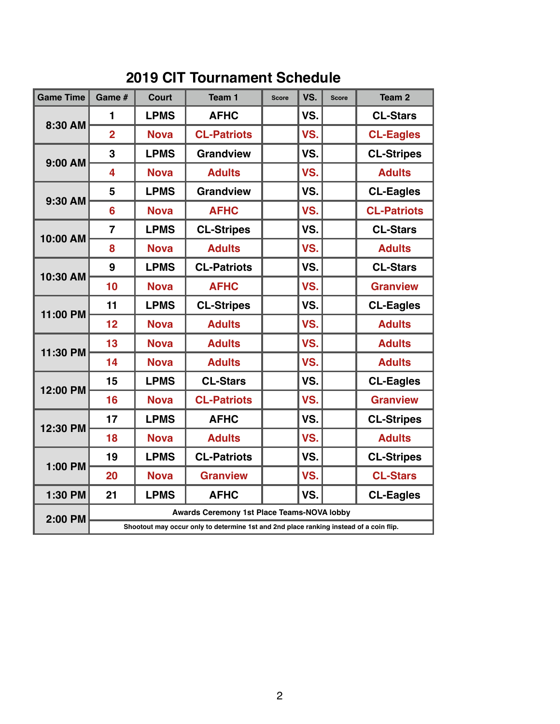## **2019 CIT Tournament Schedule**

| <b>Game Time</b> | Game #                                                                                 | <b>Court</b> | Team 1             | <b>Score</b> | VS. | <b>Score</b> | Team <sub>2</sub>  |  |  |
|------------------|----------------------------------------------------------------------------------------|--------------|--------------------|--------------|-----|--------------|--------------------|--|--|
| 8:30 AM          | 1                                                                                      | <b>LPMS</b>  | <b>AFHC</b>        | VS.          |     |              | <b>CL-Stars</b>    |  |  |
|                  | $\overline{2}$                                                                         | <b>Nova</b>  | <b>CL-Patriots</b> |              | VS. |              | <b>CL-Eagles</b>   |  |  |
| <b>9:00 AM</b>   | $\overline{3}$                                                                         | <b>LPMS</b>  | <b>Grandview</b>   |              | VS. |              | <b>CL-Stripes</b>  |  |  |
|                  | 4                                                                                      | <b>Nova</b>  | <b>Adults</b>      |              | VS. |              | <b>Adults</b>      |  |  |
| 9:30 AM          | 5                                                                                      | <b>LPMS</b>  | <b>Grandview</b>   |              | VS. |              | <b>CL-Eagles</b>   |  |  |
|                  | 6                                                                                      | <b>Nova</b>  | <b>AFHC</b>        |              | VS. |              | <b>CL-Patriots</b> |  |  |
| 10:00 AM         | $\overline{7}$                                                                         | <b>LPMS</b>  | <b>CL-Stripes</b>  |              | VS. |              | <b>CL-Stars</b>    |  |  |
|                  | 8                                                                                      | <b>Nova</b>  | <b>Adults</b>      |              | VS. |              | <b>Adults</b>      |  |  |
| 10:30 AM         | 9                                                                                      | <b>LPMS</b>  | <b>CL-Patriots</b> |              | VS. |              | <b>CL-Stars</b>    |  |  |
|                  | 10                                                                                     | <b>Nova</b>  | <b>AFHC</b>        |              | VS. |              | <b>Granview</b>    |  |  |
| 11:00 PM         | 11                                                                                     | <b>LPMS</b>  | <b>CL-Stripes</b>  |              | VS. |              | <b>CL-Eagles</b>   |  |  |
|                  | 12                                                                                     | <b>Nova</b>  | <b>Adults</b>      |              | VS. |              | <b>Adults</b>      |  |  |
| 11:30 PM         | 13                                                                                     | <b>Nova</b>  | <b>Adults</b>      |              | VS. |              | <b>Adults</b>      |  |  |
|                  | 14                                                                                     | <b>Nova</b>  | <b>Adults</b>      |              | VS. |              | <b>Adults</b>      |  |  |
| 12:00 PM         | 15                                                                                     | <b>LPMS</b>  | <b>CL-Stars</b>    |              | VS. |              | <b>CL-Eagles</b>   |  |  |
|                  | 16                                                                                     | <b>Nova</b>  | <b>CL-Patriots</b> |              | VS. |              | <b>Granview</b>    |  |  |
| 12:30 PM         | 17                                                                                     | <b>LPMS</b>  | <b>AFHC</b>        |              | VS. |              | <b>CL-Stripes</b>  |  |  |
|                  | 18                                                                                     | <b>Nova</b>  | <b>Adults</b>      |              | VS. |              | <b>Adults</b>      |  |  |
| 1:00 PM          | 19                                                                                     | <b>LPMS</b>  | <b>CL-Patriots</b> |              | VS. |              | <b>CL-Stripes</b>  |  |  |
|                  | 20                                                                                     | <b>Nova</b>  | <b>Granview</b>    |              | VS. |              | <b>CL-Stars</b>    |  |  |
| 1:30 PM          | 21                                                                                     | <b>LPMS</b>  | <b>AFHC</b>        |              | VS. |              | <b>CL-Eagles</b>   |  |  |
| 2:00 PM          | <b>Awards Ceremony 1st Place Teams-NOVA lobby</b>                                      |              |                    |              |     |              |                    |  |  |
|                  | Shootout may occur only to determine 1st and 2nd place ranking instead of a coin flip. |              |                    |              |     |              |                    |  |  |